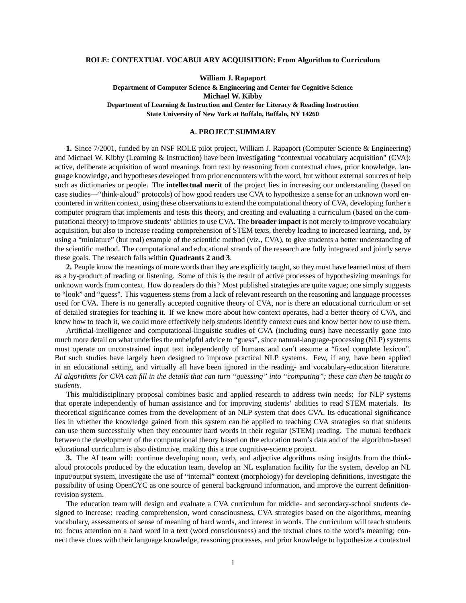## **ROLE: CONTEXTUAL VOCABULARY ACQUISITION: From Algorithm to Curriculum**

**William J. Rapaport Department of Computer Science & Engineering and Center for Cognitive Science Michael W. Kibby Department of Learning & Instruction and Center for Literacy & Reading Instruction State University of New York at Buffalo, Buffalo, NY 14260**

## **A. PROJECT SUMMARY**

**1.** Since 7/2001, funded by an NSF ROLE pilot project, William J. Rapaport (Computer Science & Engineering) and Michael W. Kibby (Learning & Instruction) have been investigating "contextual vocabulary acquisition" (CVA): active, deliberate acquisition of word meanings from text by reasoning from contextual clues, prior knowledge, language knowledge, and hypotheses developed from prior encounters with the word, but without external sources of help such as dictionaries or people. The **intellectual merit** of the project lies in increasing our understanding (based on case studies—"think-aloud" protocols) of how good readers use CVA to hypothesize a sense for an unknown word encountered in written context, using these observations to extend the computational theory of CVA, developing further a computer program that implements and tests this theory, and creating and evaluating a curriculum (based on the computational theory) to improve students' abilities to use CVA. The **broader impact** is not merely to improve vocabulary acquisition, but also to increase reading comprehension of STEM texts, thereby leading to increased learning, and, by using a "miniature" (but real) example of the scientific method (viz., CVA), to give students a better understanding of the scientific method. The computational and educational strands of the research are fully integrated and jointly serve these goals. The research falls within **Quadrants 2 and 3**.

**2.** People know the meanings of more words than they are explicitly taught, so they must have learned most of them as a by-product of reading or listening. Some of this is the result of active processes of hypothesizing meanings for unknown words from context. How do readers do this? Most published strategies are quite vague; one simply suggests to "look" and "guess". This vagueness stems from a lack of relevant research on the reasoning and language processes used for CVA. There is no generally accepted cognitive theory of CVA, nor is there an educational curriculum or set of detailed strategies for teaching it. If we knew more about how context operates, had a better theory of CVA, and knew how to teach it, we could more effectively help students identify context cues and know better how to use them.

Artificial-intelligence and computational-linguistic studies of CVA (including ours) have necessarily gone into much more detail on what underlies the unhelpful advice to "guess", since natural-language-processing (NLP) systems must operate on unconstrained input text independently of humans and can't assume a "fixed complete lexicon". But such studies have largely been designed to improve practical NLP systems. Few, if any, have been applied in an educational setting, and virtually all have been ignored in the reading- and vocabulary-education literature. *AI algorithms for CVA can fill in the details that can turn "guessing" into "computing"; these can then be taught to students.*

This multidisciplinary proposal combines basic and applied research to address twin needs: for NLP systems that operate independently of human assistance and for improving students' abilities to read STEM materials. Its theoretical significance comes from the development of an NLP system that does CVA. Its educational significance lies in whether the knowledge gained from this system can be applied to teaching CVA strategies so that students can use them successfully when they encounter hard words in their regular (STEM) reading. The mutual feedback between the development of the computational theory based on the education team's data and of the algorithm-based educational curriculum is also distinctive, making this a true cognitive-science project.

**3.** The AI team will: continue developing noun, verb, and adjective algorithms using insights from the thinkaloud protocols produced by the education team, develop an NL explanation facility for the system, develop an NL input/output system, investigate the use of "internal" context (morphology) for developing definitions, investigate the possibility of using OpenCYC as one source of general background information, and improve the current definitionrevision system.

The education team will design and evaluate a CVA curriculum for middle- and secondary-school students designed to increase: reading comprehension, word consciousness, CVA strategies based on the algorithms, meaning vocabulary, assessments of sense of meaning of hard words, and interest in words. The curriculum will teach students to: focus attention on a hard word in a text (word consciousness) and the textual clues to the word's meaning; connect these clues with their language knowledge, reasoning processes, and prior knowledge to hypothesize a contextual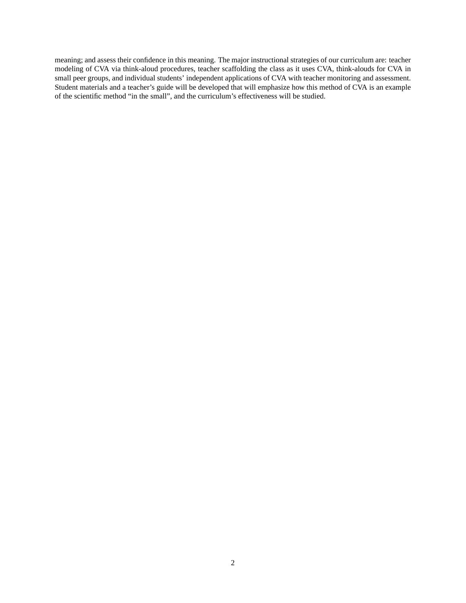meaning; and assess their confidence in this meaning. The major instructional strategies of our curriculum are: teacher modeling of CVA via think-aloud procedures, teacher scaffolding the class as it uses CVA, think-alouds for CVA in small peer groups, and individual students' independent applications of CVA with teacher monitoring and assessment. Student materials and a teacher's guide will be developed that will emphasize how this method of CVA is an example of the scientific method "in the small", and the curriculum's effectiveness will be studied.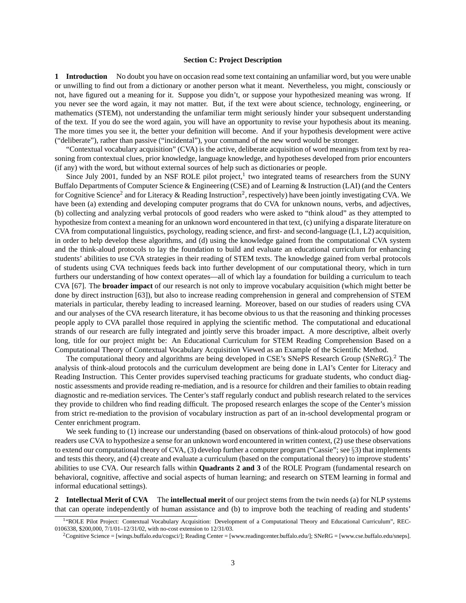## **Section C: Project Description**

**1 Introduction** No doubt you have on occasion read some text containing an unfamiliar word, but you were unable or unwilling to find out from a dictionary or another person what it meant. Nevertheless, you might, consciously or not, have figured out a meaning for it. Suppose you didn't, or suppose your hypothesized meaning was wrong. If you never see the word again, it may not matter. But, if the text were about science, technology, engineering, or mathematics (STEM), not understanding the unfamiliar term might seriously hinder your subsequent understanding of the text. If you do see the word again, you will have an opportunity to revise your hypothesis about its meaning. The more times you see it, the better your definition will become. And if your hypothesis development were active ("deliberate"), rather than passive ("incidental"), your command of the new word would be stronger.

"Contextual vocabulary acquisition" (CVA) is the active, deliberate acquisition of word meanings from text by reasoning from contextual clues, prior knowledge, language knowledge, and hypotheses developed from prior encounters (if any) with the word, but without external sources of help such as dictionaries or people.

Since July 2001, funded by an NSF ROLE pilot project, $<sup>1</sup>$  two integrated teams of researchers from the SUNY</sup> Buffalo Departments of Computer Science & Engineering (CSE) and of Learning & Instruction (LAI) (and the Centers for Cognitive Science<sup>2</sup> and for Literacy & Reading Instruction<sup>2</sup>, respectively) have been jointly investigating CVA. We have been (a) extending and developing computer programs that do CVA for unknown nouns, verbs, and adjectives, (b) collecting and analyzing verbal protocols of good readers who were asked to "think aloud" as they attempted to hypothesize from context a meaning for an unknown word encountered in that text, (c) unifying a disparate literature on CVA from computational linguistics, psychology, reading science, and first- and second-language (L1, L2) acquisition, in order to help develop these algorithms, and (d) using the knowledge gained from the computational CVA system and the think-aloud protocols to lay the foundation to build and evaluate an educational curriculum for enhancing students' abilities to use CVA strategies in their reading of STEM texts. The knowledge gained from verbal protocols of students using CVA techniques feeds back into further development of our computational theory, which in turn furthers our understanding of how context operates—all of which lay a foundation for building a curriculum to teach CVA [67]. The **broader impact** of our research is not only to improve vocabulary acquisition (which might better be done by direct instruction [63]), but also to increase reading comprehension in general and comprehension of STEM materials in particular, thereby leading to increased learning. Moreover, based on our studies of readers using CVA and our analyses of the CVA research literature, it has become obvious to us that the reasoning and thinking processes people apply to CVA parallel those required in applying the scientific method. The computational and educational strands of our research are fully integrated and jointly serve this broader impact. A more descriptive, albeit overly long, title for our project might be: An Educational Curriculum for STEM Reading Comprehension Based on a Computational Theory of Contextual Vocabulary Acquisition Viewed as an Example of the Scientific Method.

The computational theory and algorithms are being developed in CSE's SNePS Research Group (SNeRG).<sup>2</sup> The analysis of think-aloud protocols and the curriculum development are being done in LAI's Center for Literacy and Reading Instruction. This Center provides supervised teaching practicums for graduate students, who conduct diagnostic assessments and provide reading re-mediation, and is a resource for children and their families to obtain reading diagnostic and re-mediation services. The Center's staff regularly conduct and publish research related to the services they provide to children who find reading difficult. The proposed research enlarges the scope of the Center's mission from strict re-mediation to the provision of vocabulary instruction as part of an in-school developmental program or Center enrichment program.

We seek funding to (1) increase our understanding (based on observations of think-aloud protocols) of how good readers use CVA to hypothesize a sense for an unknown word encountered in written context, (2) use these observations to extend our computational theory of CVA, (3) develop further a computer program ("Cassie"; see  $\S$ 3) that implements and tests this theory, and (4) create and evaluate a curriculum (based on the computational theory) to improve students' abilities to use CVA. Our research falls within **Quadrants 2 and 3** of the ROLE Program (fundamental research on behavioral, cognitive, affective and social aspects of human learning; and research on STEM learning in formal and informal educational settings).

**2 Intellectual Merit of CVA** The **intellectual merit** of our project stems from the twin needs (a) for NLP systems that can operate independently of human assistance and (b) to improve both the teaching of reading and students'

<sup>&</sup>lt;sup>1</sup>"ROLE Pilot Project: Contextual Vocabulary Acquisition: Development of a Computational Theory and Educational Curriculum", REC-0106338, \$200,000, 7/1/01–12/31/02, with no-cost extension to 12/31/03.

<sup>&</sup>lt;sup>2</sup>Cognitive Science = [wings.buffalo.edu/cogsci/]; Reading Center = [www.readingcenter.buffalo.edu/]; SNeRG = [www.cse.buffalo.edu/sneps].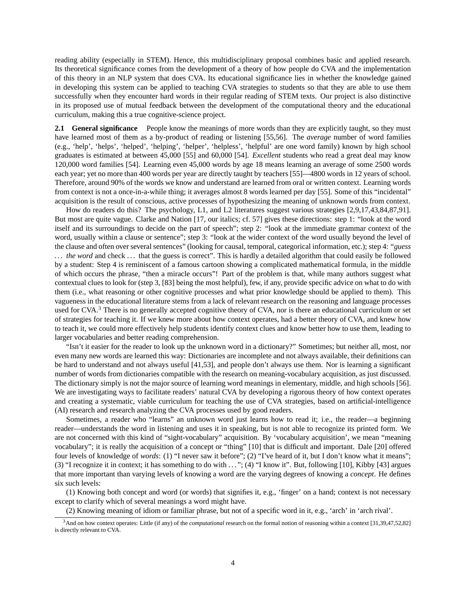reading ability (especially in STEM). Hence, this multidisciplinary proposal combines basic and applied research. Its theoretical significance comes from the development of a theory of how people do CVA and the implementation of this theory in an NLP system that does CVA. Its educational significance lies in whether the knowledge gained in developing this system can be applied to teaching CVA strategies to students so that they are able to use them successfully when they encounter hard words in their regular reading of STEM texts. Our project is also distinctive in its proposed use of mutual feedback between the development of the computational theory and the educational curriculum, making this a true cognitive-science project.

**2.1 General significance** People know the meanings of more words than they are explicitly taught, so they must have learned most of them as a by-product of reading or listening [55,56]. The *average* number of word families (e.g., 'help', 'helps', 'helped', 'helping', 'helper', 'helpless', 'helpful' are one word family) known by high school graduates is estimated at between 45,000 [55] and 60,000 [54]. *Excellent* students who read a great deal may know 120,000 word families [54]. Learning even 45,000 words by age 18 means learning an average of some 2500 words each year; yet no more than 400 words per year are directly taught by teachers [55]—4800 words in 12 years of school. Therefore, around 90% of the words we know and understand are learned from oral or written context. Learning words from context is not a once-in-a-while thing; it averages almost 8 words learned per day [55]. Some of this "incidental" acquisition is the result of conscious, active processes of hypothesizing the meaning of unknown words from context.

How do readers do this? The psychology, L1, and L2 literatures suggest various strategies [2,9,17,43,84,87,91]. But most are quite vague. Clarke and Nation [17, our italics; cf. 57] gives these directions: step 1: "look at the word itself and its surroundings to decide on the part of speech"; step 2: "look at the immediate grammar context of the word, usually within a clause or sentence"; step 3: "look at the wider context of the word usually beyond the level of the clause and often over several sentences" (looking for causal, temporal, categorical information, etc.); step 4: "*guess* ... the word and check ... that the guess is correct". This is hardly a detailed algorithm that could easily be followed by a student: Step 4 is reminiscent of a famous cartoon showing a complicated mathematical formula, in the middle of which occurs the phrase, "then a miracle occurs"! Part of the problem is that, while many authors suggest what contextual clues to look for (step 3, [83] being the most helpful), few, if any, provide specific advice on what to do with them (i.e., what reasoning or other cognitive processes and what prior knowledge should be applied to them). This vagueness in the educational literature stems from a lack of relevant research on the reasoning and language processes used for CVA.<sup>3</sup> There is no generally accepted cognitive theory of CVA, nor is there an educational curriculum or set of strategies for teaching it. If we knew more about how context operates, had a better theory of CVA, and knew how to teach it, we could more effectively help students identify context clues and know better how to use them, leading to larger vocabularies and better reading comprehension.

"Isn't it easier for the reader to look up the unknown word in a dictionary?" Sometimes; but neither all, most, nor even many new words are learned this way: Dictionaries are incomplete and not always available, their definitions can be hard to understand and not always useful [41,53], and people don't always use them. Nor is learning a significant number of words from dictionaries compatible with the research on meaning-vocabulary acquisition, as just discussed. The dictionary simply is not the major source of learning word meanings in elementary, middle, and high schools [56]. We are investigating ways to facilitate readers' natural CVA by developing a rigorous theory of how context operates and creating a systematic, viable curriculum for teaching the use of CVA strategies, based on artificial-intelligence (AI) research and research analyzing the CVA processes used by good readers.

Sometimes, a reader who "learns" an unknown word just learns how to read it; i.e., the reader—a beginning reader—understands the word in listening and uses it in speaking, but is not able to recognize its printed form. We are not concerned with this kind of "sight-vocabulary" acquisition. By 'vocabulary acquisition', we mean "meaning vocabulary"; it is really the acquisition of a concept or "thing" [10] that is difficult and important. Dale [20] offered four levels of knowledge of *words*: (1) "I never saw it before"; (2) "I've heard of it, but I don't know what it means"; (3) "I recognize it in context; it has something to do with . . . "; (4) "I know it". But, following [10], Kibby [43] argues that more important than varying levels of knowing a word are the varying degrees of knowing a *concept*. He defines six such levels:

(1) Knowing both concept and word (or words) that signifies it, e.g., 'finger' on a hand; context is not necessary except to clarify which of several meanings a word might have.

(2) Knowing meaning of idiom or familiar phrase, but not of a specific word in it, e.g., 'arch' in 'arch rival'.

<sup>3</sup>And on how context operates: Little (if any) of the *computational* research on the formal notion of reasoning within a context [31,39,47,52,82] is directly relevant to CVA.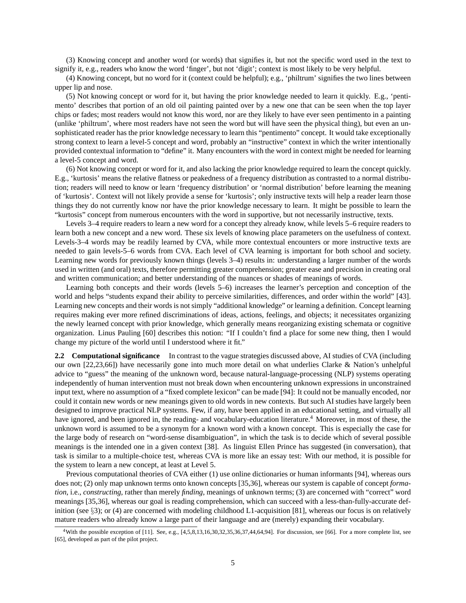(3) Knowing concept and another word (or words) that signifies it, but not the specific word used in the text to signify it, e.g., readers who know the word 'finger', but not 'digit'; context is most likely to be very helpful.

(4) Knowing concept, but no word for it (context could be helpful); e.g., 'philtrum' signifies the two lines between upper lip and nose.

(5) Not knowing concept or word for it, but having the prior knowledge needed to learn it quickly. E.g., 'pentimento' describes that portion of an old oil painting painted over by a new one that can be seen when the top layer chips or fades; most readers would not know this word, nor are they likely to have ever seen pentimento in a painting (unlike 'philtrum', where most readers have not seen the word but will have seen the physical thing), but even an unsophisticated reader has the prior knowledge necessary to learn this "pentimento" concept. It would take exceptionally strong context to learn a level-5 concept and word, probably an "instructive" context in which the writer intentionally provided contextual information to "define" it. Many encounters with the word in context might be needed for learning a level-5 concept and word.

(6) Not knowing concept or word for it, and also lacking the prior knowledge required to learn the concept quickly. E.g., 'kurtosis' means the relative flatness or peakedness of a frequency distribution as contrasted to a normal distribution; readers will need to know or learn 'frequency distribution' or 'normal distribution' before learning the meaning of 'kurtosis'. Context will not likely provide a sense for 'kurtosis'; only instructive texts will help a reader learn those things they do not currently know nor have the prior knowledge necessary to learn. It might be possible to learn the "kurtosis" concept from numerous encounters with the word in supportive, but not necessarily instructive, texts.

Levels 3–4 require readers to learn a new word for a concept they already know, while levels 5–6 require readers to learn both a new concept and a new word. These six levels of knowing place parameters on the usefulness of context. Levels-3–4 words may be readily learned by CVA, while more contextual encounters or more instructive texts are needed to gain levels-5–6 words from CVA. Each level of CVA learning is important for both school and society. Learning new words for previously known things (levels 3–4) results in: understanding a larger number of the words used in written (and oral) texts, therefore permitting greater comprehension; greater ease and precision in creating oral and written communication; and better understanding of the nuances or shades of meanings of words.

Learning both concepts and their words (levels 5–6) increases the learner's perception and conception of the world and helps "students expand their ability to perceive similarities, differences, and order within the world" [43]. Learning new concepts and their words is not simply "additional knowledge" or learning a definition. Concept learning requires making ever more refined discriminations of ideas, actions, feelings, and objects; it necessitates organizing the newly learned concept with prior knowledge, which generally means reorganizing existing schemata or cognitive organization. Linus Pauling [60] describes this notion: "If I couldn't find a place for some new thing, then I would change my picture of the world until I understood where it fit."

**2.2 Computational significance** In contrast to the vague strategies discussed above, AI studies of CVA (including our own [22,23,66]) have necessarily gone into much more detail on what underlies Clarke & Nation's unhelpful advice to "guess" the meaning of the unknown word, because natural-language-processing (NLP) systems operating independently of human intervention must not break down when encountering unknown expressions in unconstrained input text, where no assumption of a "fixed complete lexicon" can be made [94]: It could not be manually encoded, nor could it contain new words or new meanings given to old words in new contexts. But such AI studies have largely been designed to improve practical NLP systems. Few, if any, have been applied in an educational setting, and virtually all have ignored, and been ignored in, the reading- and vocabulary-education literature.<sup>4</sup> Moreover, in most of these, the unknown word is assumed to be a synonym for a known word with a known concept. This is especially the case for the large body of research on "word-sense disambiguation", in which the task is to decide which of several possible meanings is the intended one in a given context [38]. As linguist Ellen Prince has suggested (in conversation), that task is similar to a multiple-choice test, whereas CVA is more like an essay test: With our method, it is possible for the system to learn a new concept, at least at Level 5.

Previous computational theories of CVA either (1) use online dictionaries or human informants [94], whereas ours does not; (2) only map unknown terms onto known concepts [35,36], whereas our system is capable of concept *formation*, i.e., *constructing*, rather than merely *finding*, meanings of unknown terms; (3) are concerned with "correct" word meanings [35,36], whereas our goal is reading comprehension, which can succeed with a less-than-fully-accurate definition (see  $\S$ 3); or (4) are concerned with modeling childhood L1-acquisition [81], whereas our focus is on relatively mature readers who already know a large part of their language and are (merely) expanding their vocabulary.

<sup>4</sup>With the possible exception of [11]. See, e.g., [4,5,8,13,16,30,32,35,36,37,44,64,94]. For discussion, see [66]. For a more complete list, see [65], developed as part of the pilot project.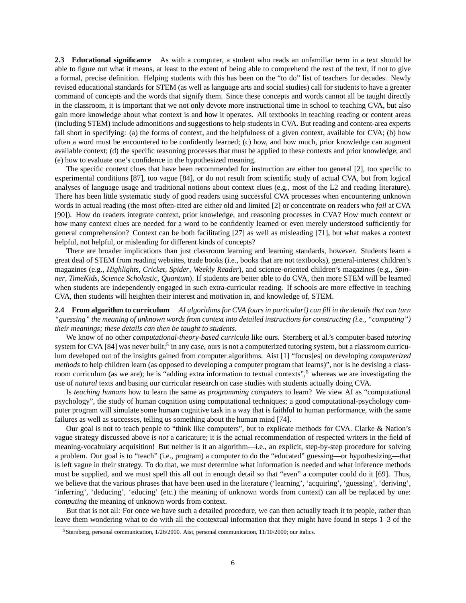**2.3 Educational significance** As with a computer, a student who reads an unfamiliar term in a text should be able to figure out what it means, at least to the extent of being able to comprehend the rest of the text, if not to give a formal, precise definition. Helping students with this has been on the "to do" list of teachers for decades. Newly revised educational standards for STEM (as well as language arts and social studies) call for students to have a greater command of concepts and the words that signify them. Since these concepts and words cannot all be taught directly in the classroom, it is important that we not only devote more instructional time in school to teaching CVA, but also gain more knowledge about what context is and how it operates. All textbooks in teaching reading or content areas (including STEM) include admonitions and suggestions to help students in CVA. But reading and content-area experts fall short in specifying: (a) the forms of context, and the helpfulness of a given context, available for CVA; (b) how often a word must be encountered to be confidently learned; (c) how, and how much, prior knowledge can augment available context; (d) the specific reasoning processes that must be applied to these contexts and prior knowledge; and (e) how to evaluate one's confidence in the hypothesized meaning.

The specific context clues that have been recommended for instruction are either too general [2], too specific to experimental conditions [87], too vague [84], or do not result from scientific study of actual CVA, but from logical analyses of language usage and traditional notions about context clues (e.g., most of the L2 and reading literature). There has been little systematic study of good readers using successful CVA processes when encountering unknown words in actual reading (the most often-cited are either old and limited [2] or concentrate on readers who *fail* at CVA [90]). How do readers integrate context, prior knowledge, and reasoning processes in CVA? How much context or how many context clues are needed for a word to be confidently learned or even merely understood sufficiently for general comprehension? Context can be both facilitating [27] as well as misleading [71], but what makes a context helpful, not helpful, or misleading for different kinds of concepts?

There are broader implications than just classroom learning and learning standards, however. Students learn a great deal of STEM from reading websites, trade books (i.e., books that are not textbooks), general-interest children's magazines (e.g., *Highlights*, *Cricket*, *Spider*, *Weekly Reader*), and science-oriented children's magazines (e.g., *Spinner*, *TimeKids*, *Science Scholastic*, *Quantum*). If students are better able to do CVA, then more STEM will be learned when students are independently engaged in such extra-curricular reading. If schools are more effective in teaching CVA, then students will heighten their interest and motivation in, and knowledge of, STEM.

**2.4 From algorithm to curriculum** *AI algorithms for CVA (ours in particular!) can fill in the details that can turn "guessing" the meaning of unknown words from context into detailed instructions for constructing (i.e., "computing") their meanings; these details can then be taught to students*.

We know of no other *computational-theory-based curricula* like ours. Sternberg et al.'s computer-based *tutoring* system for CVA [84] was never built;<sup>5</sup> in any case, ours is not a computerized tutoring system, but a classroom curriculum developed out of the insights gained from computer algorithms. Aist [1] "focus[es] on developing *computerized methods* to help children learn (as opposed to developing a computer program that learns)", nor is he devising a classroom curriculum (as we are); he is "adding extra information to textual contexts",<sup>5</sup> whereas we are investigating the use of *natural* texts and basing our curricular research on case studies with students actually doing CVA.

Is *teaching humans* how to learn the same as *programming computers* to learn? We view AI as "computational psychology", the study of human cognition using computational techniques; a good computational-psychology computer program will simulate some human cognitive task in a way that is faithful to human performance, with the same failures as well as successes, telling us something about the human mind [74].

Our goal is not to teach people to "think like computers", but to explicate methods for CVA. Clarke & Nation's vague strategy discussed above is *not* a caricature; it is the actual recommendation of respected writers in the field of meaning-vocabulary acquisition! But neither is it an algorithm—i.e., an explicit, step-by-step procedure for solving a problem. Our goal is to "teach" (i.e., program) a computer to do the "educated" guessing—or hypothesizing—that is left vague in their strategy. To do that, we must determine what information is needed and what inference methods must be supplied, and we must spell this all out in enough detail so that "even" a computer could do it [69]. Thus, we believe that the various phrases that have been used in the literature ('learning', 'acquiring', 'guessing', 'deriving', 'inferring', 'deducing', 'educing' (etc.) the meaning of unknown words from context) can all be replaced by one: *computing* the meaning of unknown words from context.

But that is not all: For once we have such a detailed procedure, we can then actually teach it to people, rather than leave them wondering what to do with all the contextual information that they might have found in steps 1–3 of the

<sup>5</sup>Sternberg, personal communication, 1/26/2000. Aist, personal communication, 11/10/2000; our italics.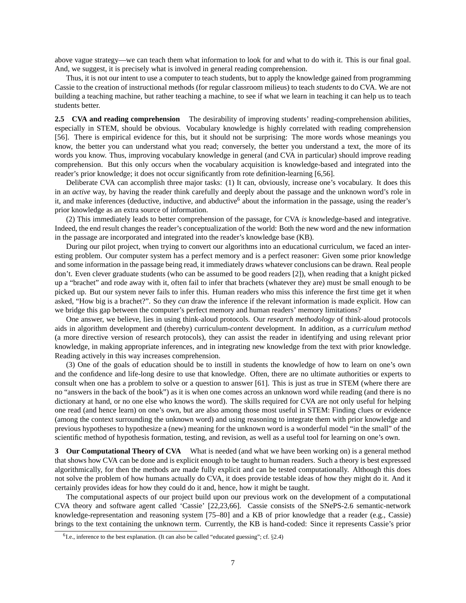above vague strategy—we can teach them what information to look for and what to do with it. This is our final goal. And, we suggest, it is precisely what is involved in general reading comprehension.

Thus, it is not our intent to use a computer to teach students, but to apply the knowledge gained from programming Cassie to the creation of instructional methods (for regular classroom milieus) to teach *students* to do CVA. We are not building a teaching machine, but rather teaching a machine, to see if what we learn in teaching it can help us to teach students better.

**2.5 CVA and reading comprehension** The desirability of improving students' reading-comprehension abilities, especially in STEM, should be obvious. Vocabulary knowledge is highly correlated with reading comprehension [56]. There is empirical evidence for this, but it should not be surprising: The more words whose meanings you know, the better you can understand what you read; conversely, the better you understand a text, the more of its words you know. Thus, improving vocabulary knowledge in general (and CVA in particular) should improve reading comprehension. But this only occurs when the vocabulary acquisition is knowledge-based and integrated into the reader's prior knowledge; it does not occur significantly from rote definition-learning [6,56].

Deliberate CVA can accomplish three major tasks: (1) It can, obviously, increase one's vocabulary. It does this in an *active* way, by having the reader think carefully and deeply about the passage and the unknown word's role in it, and make inferences (deductive, inductive, and abductive<sup>6</sup> about the information in the passage, using the reader's prior knowledge as an extra source of information.

(2) This immediately leads to better comprehension of the passage, for CVA *is* knowledge-based and integrative. Indeed, the end result changes the reader's conceptualization of the world: Both the new word and the new information in the passage are incorporated and integrated into the reader's knowledge base (KB).

During our pilot project, when trying to convert our algorithms into an educational curriculum, we faced an interesting problem. Our computer system has a perfect memory and is a perfect reasoner: Given some prior knowledge and some information in the passage being read, it immediately draws whatever conclusions can be drawn. Real people don't. Even clever graduate students (who can be assumed to be good readers [2]), when reading that a knight picked up a "brachet" and rode away with it, often fail to infer that brachets (whatever they are) must be small enough to be picked up. But our system never fails to infer this. Human readers who miss this inference the first time get it when asked, "How big is a brachet?". So they *can* draw the inference if the relevant information is made explicit. How can we bridge this gap between the computer's perfect memory and human readers' memory limitations?

One answer, we believe, lies in using think-aloud protocols. Our *research methodology* of think-aloud protocols aids in algorithm development and (thereby) curriculum-*content* development. In addition, as a *curriculum method* (a more directive version of research protocols), they can assist the reader in identifying and using relevant prior knowledge, in making appropriate inferences, and in integrating new knowledge from the text with prior knowledge. Reading actively in this way increases comprehension.

(3) One of the goals of education should be to instill in students the knowledge of how to learn on one's own and the confidence and life-long desire to use that knowledge. Often, there are no ultimate authorities or experts to consult when one has a problem to solve or a question to answer [61]. This is just as true in STEM (where there are no "answers in the back of the book") as it is when one comes across an unknown word while reading (and there is no dictionary at hand, or no one else who knows the word). The skills required for CVA are not only useful for helping one read (and hence learn) on one's own, but are also among those most useful in STEM: Finding clues or evidence (among the context surrounding the unknown word) and using reasoning to integrate them with prior knowledge and previous hypotheses to hypothesize a (new) meaning for the unknown word is a wonderful model "in the small" of the scientific method of hypothesis formation, testing, and revision, as well as a useful tool for learning on one's own.

**3** Our Computational Theory of CVA What is needed (and what we have been working on) is a general method that shows how CVA can be done and is explicit enough to be taught to human readers. Such a theory is best expressed algorithmically, for then the methods are made fully explicit and can be tested computationally. Although this does not solve the problem of how humans actually do CVA, it does provide testable ideas of how they might do it. And it certainly provides ideas for how they could do it and, hence, how it might be taught.

The computational aspects of our project build upon our previous work on the development of a computational CVA theory and software agent called 'Cassie' [22,23,66]. Cassie consists of the SNePS-2.6 semantic-network knowledge-representation and reasoning system [75–80] and a KB of prior knowledge that a reader (e.g., Cassie) brings to the text containing the unknown term. Currently, the KB is hand-coded: Since it represents Cassie's prior

 ${}^{6}$ I.e., inference to the best explanation. (It can also be called "educated guessing"; cf.  $\S 2.4$ )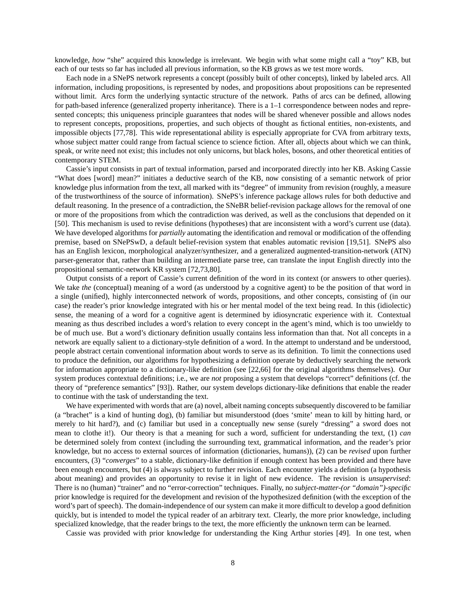knowledge, *how* "she" acquired this knowledge is irrelevant. We begin with what some might call a "toy" KB, but each of our tests so far has included all previous information, so the KB grows as we test more words.

Each node in a SNePS network represents a concept (possibly built of other concepts), linked by labeled arcs. All information, including propositions, is represented by nodes, and propositions about propositions can be represented without limit. Arcs form the underlying syntactic structure of the network. Paths of arcs can be defined, allowing for path-based inference (generalized property inheritance). There is a 1–1 correspondence between nodes and represented concepts; this uniqueness principle guarantees that nodes will be shared whenever possible and allows nodes to represent concepts, propositions, properties, and such objects of thought as fictional entities, non-existents, and impossible objects [77,78]. This wide representational ability is especially appropriate for CVA from arbitrary texts, whose subject matter could range from factual science to science fiction. After all, objects about which we can think, speak, or write need not exist; this includes not only unicorns, but black holes, bosons, and other theoretical entities of contemporary STEM.

Cassie's input consists in part of textual information, parsed and incorporated directly into her KB. Asking Cassie "What does [word] mean?" initiates a deductive search of the KB, now consisting of a semantic network of prior knowledge plus information from the text, all marked with its "degree" of immunity from revision (roughly, a measure of the trustworthiness of the source of information). SNePS's inference package allows rules for both deductive and default reasoning. In the presence of a contradiction, the SNeBR belief-revision package allows for the removal of one or more of the propositions from which the contradiction was derived, as well as the conclusions that depended on it [50]. This mechanism is used to revise definitions (hypotheses) that are inconsistent with a word's current use (data). We have developed algorithms for *partially* automating the identification and removal or modification of the offending premise, based on SNePSwD, a default belief-revision system that enables automatic revision [19,51]. SNePS also has an English lexicon, morphological analyzer/synthesizer, and a generalized augmented-transition-network (ATN) parser-generator that, rather than building an intermediate parse tree, can translate the input English directly into the propositional semantic-network KR system [72,73,80].

Output consists of a report of Cassie's current definition of the word in its context (or answers to other queries). We take *the* (conceptual) meaning of a word (as understood by a cognitive agent) to be the position of that word in a single (unified), highly interconnected network of words, propositions, and other concepts, consisting of (in our case) the reader's prior knowledge integrated with his or her mental model of the text being read. In this (idiolectic) sense, the meaning of a word for a cognitive agent is determined by idiosyncratic experience with it. Contextual meaning as thus described includes a word's relation to every concept in the agent's mind, which is too unwieldy to be of much use. But a word's dictionary definition usually contains less information than that. Not all concepts in a network are equally salient to a dictionary-style definition of a word. In the attempt to understand and be understood, people abstract certain conventional information about words to serve as its definition. To limit the connections used to produce the definition, our algorithms for hypothesizing a definition operate by deductively searching the network for information appropriate to a dictionary-like definition (see [22,66] for the original algorithms themselves). Our system produces contextual definitions; i.e., we are *not* proposing a system that develops "correct" definitions (cf. the theory of "preference semantics" [93]). Rather, our system develops dictionary-like definitions that enable the reader to continue with the task of understanding the text.

We have experimented with words that are (a) novel, albeit naming concepts subsequently discovered to be familiar (a "brachet" is a kind of hunting dog), (b) familiar but misunderstood (does 'smite' mean to kill by hitting hard, or merely to hit hard?), and (c) familiar but used in a conceptually new sense (surely "dressing" a sword does not mean to clothe it!). Our theory is that a meaning for such a word, sufficient for understanding the text, (1) *can* be determined solely from context (including the surrounding text, grammatical information, and the reader's prior knowledge, but no access to external sources of information (dictionaries, humans)), (2) can be *revised* upon further encounters, (3) "*converges*" to a stable, dictionary-like definition if enough context has been provided and there have been enough encounters, but (4) is always subject to further revision. Each encounter yields a definition (a hypothesis about meaning) and provides an opportunity to revise it in light of new evidence. The revision is *unsupervised*: There is no (human) "trainer" and no "error-correction" techniques. Finally, no *subject-matter-(or "domain")-specific* prior knowledge is required for the development and revision of the hypothesized definition (with the exception of the word's part of speech). The domain-independence of our system can make it more difficult to develop a good definition quickly, but is intended to model the typical reader of an arbitrary text. Clearly, the more prior knowledge, including specialized knowledge, that the reader brings to the text, the more efficiently the unknown term can be learned.

Cassie was provided with prior knowledge for understanding the King Arthur stories [49]. In one test, when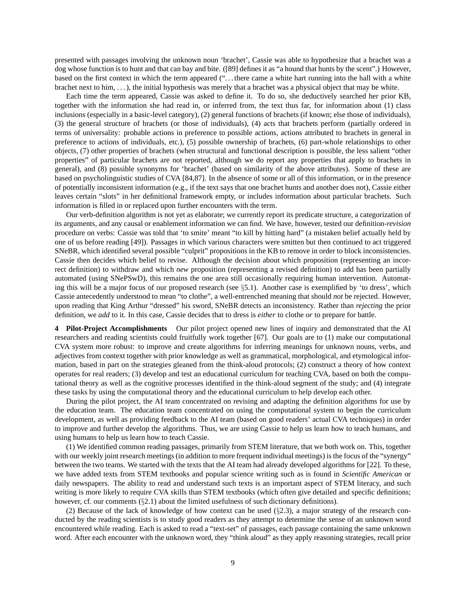presented with passages involving the unknown noun 'brachet', Cassie was able to hypothesize that a brachet was a dog whose function is to hunt and that can bay and bite. ([89] defines it as "a hound that hunts by the scent".) However, based on the first context in which the term appeared (". . . there came a white hart running into the hall with a white brachet next to him, . . . ), the initial hypothesis was merely that a brachet was a physical object that may be white.

Each time the term appeared, Cassie was asked to define it. To do so, she deductively searched her prior KB, together with the information she had read in, or inferred from, the text thus far, for information about (1) class inclusions (especially in a basic-level category), (2) general functions of brachets (if known; else those of individuals), (3) the general structure of brachets (or those of individuals), (4) acts that brachets perform (partially ordered in terms of universality: probable actions in preference to possible actions, actions attributed to brachets in general in preference to actions of individuals, etc.), (5) possible ownership of brachets, (6) part-whole relationships to other objects, (7) other properties of brachets (when structural and functional description is possible, the less salient "other properties" of particular brachets are not reported, although we do report any properties that apply to brachets in general), and (8) possible synonyms for 'brachet' (based on similarity of the above attributes). Some of these are based on psycholinguistic studies of CVA [84,87]. In the absence of some or all of this information, or in the presence of potentially inconsistent information (e.g., if the text says that one brachet hunts and another does not), Cassie either leaves certain "slots" in her definitional framework empty, or includes information about particular brachets. Such information is filled in or replaced upon further encounters with the term.

Our verb-definition algorithm is not yet as elaborate; we currently report its predicate structure, a categorization of its arguments, and any causal or enablement information we can find. We have, however, tested our definition-*revision* procedure on verbs: Cassie was told that 'to smite' meant "to kill by hitting hard" (a mistaken belief actually held by one of us before reading [49]). Passages in which various characters were smitten but then continued to act triggered SNeBR, which identified several possible "culprit" propositions in the KB to remove in order to block inconsistencies. Cassie then decides which belief to revise. Although the decision about which proposition (representing an incorrect definition) to withdraw and which *new* proposition (representing a revised definition) to add has been partially automated (using SNePSwD), this remains the one area still occasionally requiring human intervention. Automating this will be a major focus of our proposed research (see  $\S5.1$ ). Another case is exemplified by 'to dress', which Cassie antecedently understood to mean "to clothe", a well-entrenched meaning that should *not* be rejected. However, upon reading that King Arthur "dressed" his sword, SNeBR detects an inconsistency. Rather than *rejecting* the prior definition, we *add* to it. In this case, Cassie decides that to dress is *either* to clothe *or* to prepare for battle.

**4 Pilot-Project Accomplishments** Our pilot project opened new lines of inquiry and demonstrated that the AI researchers and reading scientists could fruitfully work together [67]. Our goals are to (1) make our computational CVA system more robust: to improve and create algorithms for inferring meanings for unknown nouns, verbs, and adjectives from context together with prior knowledge as well as grammatical, morphological, and etymological information, based in part on the strategies gleaned from the think-aloud protocols; (2) construct a theory of how context operates for real readers; (3) develop and test an educational curriculum for teaching CVA, based on both the computational theory as well as the cognitive processes identified in the think-aloud segment of the study; and (4) integrate these tasks by using the computational theory and the educational curriculum to help develop each other.

During the pilot project, the AI team concentrated on revising and adapting the definition algorithms for use by the education team. The education team concentrated on using the computational system to begin the curriculum development, as well as providing feedback to the AI team (based on good readers' actual CVA techniques) in order to improve and further develop the algorithms. Thus, we are using Cassie to help us learn how to teach humans, and using humans to help us learn how to teach Cassie.

(1) We identified common reading passages, primarily from STEM literature, that we both work on. This, together with our weekly joint research meetings (in addition to more frequent individual meetings) is the focus of the "synergy" between the two teams. We started with the texts that the AI team had already developed algorithms for [22]. To these, we have added texts from STEM textbooks and popular science writing such as is found in *Scientific American* or daily newspapers. The ability to read and understand such texts is an important aspect of STEM literacy, and such writing is more likely to require CVA skills than STEM textbooks (which often give detailed and specific definitions; however, cf. our comments  $(\S2.1)$  about the limited usefulness of such dictionary definitions).

(2) Because of the lack of knowledge of how context can be used (§2.3), a major strategy of the research conducted by the reading scientists is to study good readers as they attempt to determine the sense of an unknown word encountered while reading. Each is asked to read a "text-set" of passages, each passage containing the same unknown word. After each encounter with the unknown word, they "think aloud" as they apply reasoning strategies, recall prior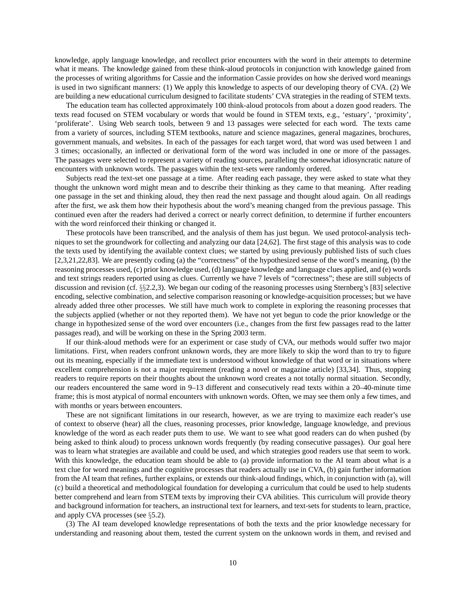knowledge, apply language knowledge, and recollect prior encounters with the word in their attempts to determine what it means. The knowledge gained from these think-aloud protocols in conjunction with knowledge gained from the processes of writing algorithms for Cassie and the information Cassie provides on how she derived word meanings is used in two significant manners: (1) We apply this knowledge to aspects of our developing theory of CVA. (2) We are building a new educational curriculum designed to facilitate students' CVA strategies in the reading of STEM texts.

The education team has collected approximately 100 think-aloud protocols from about a dozen good readers. The texts read focused on STEM vocabulary or words that would be found in STEM texts, e.g., 'estuary', 'proximity', 'proliferate'. Using Web search tools, between 9 and 13 passages were selected for each word. The texts came from a variety of sources, including STEM textbooks, nature and science magazines, general magazines, brochures, government manuals, and websites. In each of the passages for each target word, that word was used between 1 and 3 times; occasionally, an inflected or derivational form of the word was included in one or more of the passages. The passages were selected to represent a variety of reading sources, paralleling the somewhat idiosyncratic nature of encounters with unknown words. The passages within the text-sets were randomly ordered.

Subjects read the text-set one passage at a time. After reading each passage, they were asked to state what they thought the unknown word might mean and to describe their thinking as they came to that meaning. After reading one passage in the set and thinking aloud, they then read the next passage and thought aloud again. On all readings after the first, we ask them how their hypothesis about the word's meaning changed from the previous passage. This continued even after the readers had derived a correct or nearly correct definition, to determine if further encounters with the word reinforced their thinking or changed it.

These protocols have been transcribed, and the analysis of them has just begun. We used protocol-analysis techniques to set the groundwork for collecting and analyzing our data [24,62]. The first stage of this analysis was to code the texts used by identifying the available context clues; we started by using previously published lists of such clues [2,3,21,22,83]. We are presently coding (a) the "correctness" of the hypothesized sense of the word's meaning, (b) the reasoning processes used, (c) prior knowledge used, (d) language knowledge and language clues applied, and (e) words and text strings readers reported using as clues. Currently we have 7 levels of "correctness"; these are still subjects of discussion and revision (cf. §§2.2,3). We began our coding of the reasoning processes using Sternberg's [83] selective encoding, selective combination, and selective comparison reasoning or knowledge-acquisition processes; but we have already added three other processes. We still have much work to complete in exploring the reasoning processes that the subjects applied (whether or not they reported them). We have not yet begun to code the prior knowledge or the change in hypothesized sense of the word over encounters (i.e., changes from the first few passages read to the latter passages read), and will be working on these in the Spring 2003 term.

If our think-aloud methods were for an experiment or case study of CVA, our methods would suffer two major limitations. First, when readers confront unknown words, they are more likely to skip the word than to try to figure out its meaning, especially if the immediate text is understood without knowledge of that word or in situations where excellent comprehension is not a major requirement (reading a novel or magazine article) [33,34]. Thus, stopping readers to require reports on their thoughts about the unknown word creates a not totally normal situation. Secondly, our readers encountered the same word in 9–13 different and consecutively read texts within a 20–40-minute time frame; this is most atypical of normal encounters with unknown words. Often, we may see them only a few times, and with months or years between encounters.

These are not significant limitations in our research, however, as we are trying to maximize each reader's use of context to observe (hear) all the clues, reasoning processes, prior knowledge, language knowledge, and previous knowledge of the word as each reader puts them to use. We want to see what good readers can do when pushed (by being asked to think aloud) to process unknown words frequently (by reading consecutive passages). Our goal here was to learn what strategies are available and could be used, and which strategies good readers use that seem to work. With this knowledge, the education team should be able to (a) provide information to the AI team about what is a text clue for word meanings and the cognitive processes that readers actually use in CVA, (b) gain further information from the AI team that refines, further explains, or extends our think-aloud findings, which, in conjunction with (a), will (c) build a theoretical and methodological foundation for developing a curriculum that could be used to help students better comprehend and learn from STEM texts by improving their CVA abilities. This curriculum will provide theory and background information for teachers, an instructional text for learners, and text-sets for students to learn, practice, and apply CVA processes (see §5.2).

(3) The AI team developed knowledge representations of both the texts and the prior knowledge necessary for understanding and reasoning about them, tested the current system on the unknown words in them, and revised and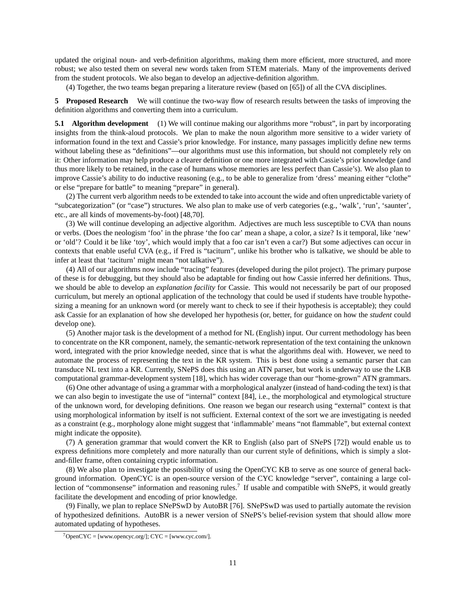updated the original noun- and verb-definition algorithms, making them more efficient, more structured, and more robust; we also tested them on several new words taken from STEM materials. Many of the improvements derived from the student protocols. We also began to develop an adjective-definition algorithm.

(4) Together, the two teams began preparing a literature review (based on [65]) of all the CVA disciplines.

**5 Proposed Research** We will continue the two-way flow of research results between the tasks of improving the definition algorithms and converting them into a curriculum.

**5.1 Algorithm development** (1) We will continue making our algorithms more "robust", in part by incorporating insights from the think-aloud protocols. We plan to make the noun algorithm more sensitive to a wider variety of information found in the text and Cassie's prior knowledge. For instance, many passages implicitly define new terms without labeling these as "definitions"—our algorithms must use this information, but should not completely rely on it: Other information may help produce a clearer definition or one more integrated with Cassie's prior knowledge (and thus more likely to be retained, in the case of humans whose memories are less perfect than Cassie's). We also plan to improve Cassie's ability to do inductive reasoning (e.g., to be able to generalize from 'dress' meaning either "clothe" or else "prepare for battle" to meaning "prepare" in general).

(2) The current verb algorithm needs to be extended to take into account the wide and often unpredictable variety of "subcategorization" (or "case") structures. We also plan to make use of verb categories (e.g., 'walk', 'run', 'saunter', etc., are all kinds of movements-by-foot) [48,70].

(3) We will continue developing an adjective algorithm. Adjectives are much less susceptible to CVA than nouns or verbs. (Does the neologism 'foo' in the phrase 'the foo car' mean a shape, a color, a size? Is it temporal, like 'new' or 'old'? Could it be like 'toy', which would imply that a foo car isn't even a car?) But some adjectives can occur in contexts that enable useful CVA (e.g., if Fred is "taciturn", unlike his brother who is talkative, we should be able to infer at least that 'taciturn' might mean "not talkative").

(4) All of our algorithms now include "tracing" features (developed during the pilot project). The primary purpose of these is for debugging, but they should also be adaptable for finding out how Cassie inferred her definitions. Thus, we should be able to develop an *explanation facility* for Cassie. This would not necessarily be part of our proposed curriculum, but merely an optional application of the technology that could be used if students have trouble hypothesizing a meaning for an unknown word (or merely want to check to see if their hypothesis is acceptable); they could ask Cassie for an explanation of how she developed her hypothesis (or, better, for guidance on how the *student* could develop one).

(5) Another major task is the development of a method for NL (English) input. Our current methodology has been to concentrate on the KR component, namely, the semantic-network representation of the text containing the unknown word, integrated with the prior knowledge needed, since that is what the algorithms deal with. However, we need to automate the process of representing the text in the KR system. This is best done using a semantic parser that can transduce NL text into a KR. Currently, SNePS does this using an ATN parser, but work is underway to use the LKB computational grammar-development system [18], which has wider coverage than our "home-grown" ATN grammars.

(6) One other advantage of using a grammar with a morphological analyzer (instead of hand-coding the text) is that we can also begin to investigate the use of "internal" context [84], i.e., the morphological and etymological structure of the unknown word, for developing definitions. One reason we began our research using "external" context is that using morphological information by itself is not sufficient. External context of the sort we are investigating is needed as a constraint (e.g., morphology alone might suggest that 'inflammable' means "not flammable", but external context might indicate the opposite).

(7) A generation grammar that would convert the KR to English (also part of SNePS [72]) would enable us to express definitions more completely and more naturally than our current style of definitions, which is simply a slotand-filler frame, often containing cryptic information.

(8) We also plan to investigate the possibility of using the OpenCYC KB to serve as one source of general background information. OpenCYC is an open-source version of the CYC knowledge "server", containing a large collection of "commonsense" information and reasoning rules.<sup>7</sup> If usable and compatible with SNePS, it would greatly facilitate the development and encoding of prior knowledge.

(9) Finally, we plan to replace SNePSwD by AutoBR [76]. SNePSwD was used to partially automate the revision of hypothesized definitions. AutoBR is a newer version of SNePS's belief-revision system that should allow more automated updating of hypotheses.

 $7$ OpenCYC = [www.opencyc.org/]; CYC = [www.cyc.com/].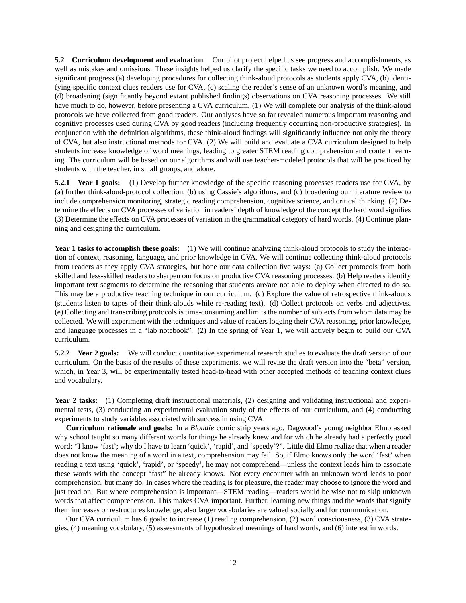**5.2 Curriculum development and evaluation** Our pilot project helped us see progress and accomplishments, as well as mistakes and omissions. These insights helped us clarify the specific tasks we need to accomplish. We made significant progress (a) developing procedures for collecting think-aloud protocols as students apply CVA, (b) identifying specific context clues readers use for CVA, (c) scaling the reader's sense of an unknown word's meaning, and (d) broadening (significantly beyond extant published findings) observations on CVA reasoning processes. We still have much to do, however, before presenting a CVA curriculum. (1) We will complete our analysis of the think-aloud protocols we have collected from good readers. Our analyses have so far revealed numerous important reasoning and cognitive processes used during CVA by good readers (including frequently occurring non-productive strategies). In conjunction with the definition algorithms, these think-aloud findings will significantly influence not only the theory of CVA, but also instructional methods for CVA. (2) We will build and evaluate a CVA curriculum designed to help students increase knowledge of word meanings, leading to greater STEM reading comprehension and content learning. The curriculum will be based on our algorithms and will use teacher-modeled protocols that will be practiced by students with the teacher, in small groups, and alone.

**5.2.1 Year 1 goals:** (1) Develop further knowledge of the specific reasoning processes readers use for CVA, by (a) further think-aloud-protocol collection, (b) using Cassie's algorithms, and (c) broadening our literature review to include comprehension monitoring, strategic reading comprehension, cognitive science, and critical thinking. (2) Determine the effects on CVA processes of variation in readers' depth of knowledge of the concept the hard word signifies (3) Determine the effects on CVA processes of variation in the grammatical category of hard words. (4) Continue planning and designing the curriculum.

**Year 1 tasks to accomplish these goals:** (1) We will continue analyzing think-aloud protocols to study the interaction of context, reasoning, language, and prior knowledge in CVA. We will continue collecting think-aloud protocols from readers as they apply CVA strategies, but hone our data collection five ways: (a) Collect protocols from both skilled and less-skilled readers to sharpen our focus on productive CVA reasoning processes. (b) Help readers identify important text segments to determine the reasoning that students are/are not able to deploy when directed to do so. This may be a productive teaching technique in our curriculum. (c) Explore the value of retrospective think-alouds (students listen to tapes of their think-alouds while re-reading text). (d) Collect protocols on verbs and adjectives. (e) Collecting and transcribing protocols is time-consuming and limits the number of subjects from whom data may be collected. We will experiment with the techniques and value of readers logging their CVA reasoning, prior knowledge, and language processes in a "lab notebook". (2) In the spring of Year 1, we will actively begin to build our CVA curriculum.

**5.2.2 Year 2 goals:** We will conduct quantitative experimental research studies to evaluate the draft version of our curriculum. On the basis of the results of these experiments, we will revise the draft version into the "beta" version, which, in Year 3, will be experimentally tested head-to-head with other accepted methods of teaching context clues and vocabulary.

**Year 2 tasks:** (1) Completing draft instructional materials, (2) designing and validating instructional and experimental tests, (3) conducting an experimental evaluation study of the effects of our curriculum, and (4) conducting experiments to study variables associated with success in using CVA.

**Curriculum rationale and goals:** In a *Blondie* comic strip years ago, Dagwood's young neighbor Elmo asked why school taught so many different words for things he already knew and for which he already had a perfectly good word: "I know 'fast'; why do I have to learn 'quick', 'rapid', and 'speedy'?". Little did Elmo realize that when a reader does not know the meaning of a word in a text, comprehension may fail. So, if Elmo knows only the word 'fast' when reading a text using 'quick', 'rapid', or 'speedy', he may not comprehend—unless the context leads him to associate these words with the concept "fast" he already knows. Not every encounter with an unknown word leads to poor comprehension, but many do. In cases where the reading is for pleasure, the reader may choose to ignore the word and just read on. But where comprehension is important—STEM reading—readers would be wise not to skip unknown words that affect comprehension. This makes CVA important. Further, learning new things and the words that signify them increases or restructures knowledge; also larger vocabularies are valued socially and for communication.

Our CVA curriculum has 6 goals: to increase (1) reading comprehension, (2) word consciousness, (3) CVA strategies, (4) meaning vocabulary, (5) assessments of hypothesized meanings of hard words, and (6) interest in words.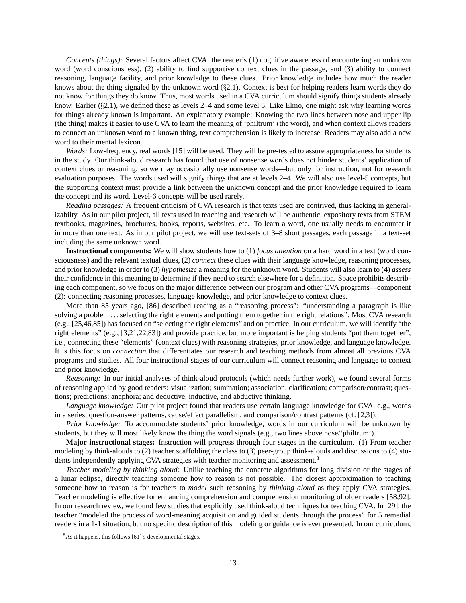*Concepts (things):* Several factors affect CVA: the reader's (1) cognitive awareness of encountering an unknown word (word consciousness), (2) ability to find supportive context clues in the passage, and (3) ability to connect reasoning, language facility, and prior knowledge to these clues. Prior knowledge includes how much the reader knows about the thing signaled by the unknown word (§2.1). Context is best for helping readers learn words they do not know for things they do know. Thus, most words used in a CVA curriculum should signify things students already know. Earlier (§2.1), we defined these as levels 2–4 and some level 5. Like Elmo, one might ask why learning words for things already known is important. An explanatory example: Knowing the two lines between nose and upper lip (the thing) makes it easier to use CVA to learn the meaning of 'philtrum' (the word), and when context allows readers to connect an unknown word to a known thing, text comprehension is likely to increase. Readers may also add a new word to their mental lexicon.

*Words:* Low-frequency, real words [15] will be used. They will be pre-tested to assure appropriateness for students in the study. Our think-aloud research has found that use of nonsense words does not hinder students' application of context clues or reasoning, so we may occasionally use nonsense words—but only for instruction, not for research evaluation purposes. The words used will signify things that are at levels 2–4. We will also use level-5 concepts, but the supporting context must provide a link between the unknown concept and the prior knowledge required to learn the concept and its word. Level-6 concepts will be used rarely.

*Reading passages:* A frequent criticism of CVA research is that texts used are contrived, thus lacking in generalizabilty. As in our pilot project, all texts used in teaching and research will be authentic, expository texts from STEM textbooks, magazines, brochures, books, reports, websites, etc. To learn a word, one usually needs to encounter it in more than one text. As in our pilot project, we will use text-sets of 3–8 short passages, each passage in a text-set including the same unknown word.

**Instructional components:** We will show students how to (1) *focus attention* on a hard word in a text (word consciousness) and the relevant textual clues, (2) *connect* these clues with their language knowledge, reasoning processes, and prior knowledge in order to (3) *hypothesize* a meaning for the unknown word. Students will also learn to (4) *assess* their confidence in this meaning to determine if they need to search elsewhere for a definition. Space prohibits describing each component, so we focus on the major difference between our program and other CVA programs—component (2): connecting reasoning processes, language knowledge, and prior knowledge to context clues.

More than 85 years ago, [86] described reading as a "reasoning process": "understanding a paragraph is like solving a problem . . . selecting the right elements and putting them together in the right relations". Most CVA research (e.g., [25,46,85]) has focused on "selecting the right elements" and on practice. In our curriculum, we will identify "the right elements" (e.g., [3,21,22,83]) and provide practice, but more important is helping students "put them together", i.e., connecting these "elements" (context clues) with reasoning strategies, prior knowledge, and language knowledge. It is this focus on *connection* that differentiates our research and teaching methods from almost all previous CVA programs and studies. All four instructional stages of our curriculum will connect reasoning and language to context and prior knowledge.

*Reasoning:* In our initial analyses of think-aloud protocols (which needs further work), we found several forms of reasoning applied by good readers: visualization; summation; association; clarification; comparison/contrast; questions; predictions; anaphora; and deductive, inductive, and abductive thinking.

*Language knowledge:* Our pilot project found that readers use certain language knowledge for CVA, e.g., words in a series, question-answer patterns, cause/effect parallelism, and comparison/contrast patterns (cf. [2,3]).

*Prior knowledge:* To accommodate students' prior knowledge, words in our curriculum will be unknown by students, but they will most likely know the thing the word signals (e.g., two lines above nose/'philtrum').

**Major instructional stages:** Instruction will progress through four stages in the curriculum. (1) From teacher modeling by think-alouds to (2) teacher scaffolding the class to (3) peer-group think-alouds and discussions to (4) students independently applying CVA strategies with teacher monitoring and assessment.<sup>8</sup>

*Teacher modeling by thinking aloud:* Unlike teaching the concrete algorithms for long division or the stages of a lunar eclipse, directly teaching someone how to reason is not possible. The closest approximation to teaching someone how to reason is for teachers to *model* such reasoning by *thinking aloud* as they apply CVA strategies. Teacher modeling is effective for enhancing comprehension and comprehension monitoring of older readers [58,92]. In our research review, we found few studies that explicitly used think-aloud techniques for teaching CVA. In [29], the teacher "modeled the process of word-meaning acquisition and guided students through the process" for 5 remedial readers in a 1-1 situation, but no specific description of this modeling or guidance is ever presented. In our curriculum,

<sup>8</sup>As it happens, this follows [61]'s developmental stages.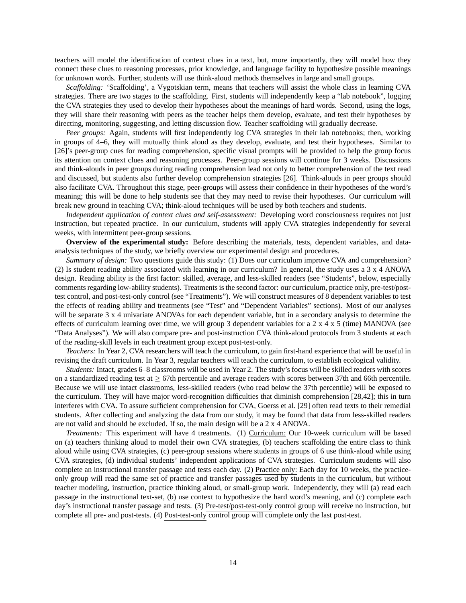teachers will model the identification of context clues in a text, but, more importantly, they will model how they connect these clues to reasoning processes, prior knowledge, and language facility to hypothesize possible meanings for unknown words. Further, students will use think-aloud methods themselves in large and small groups.

*Scaffolding:* 'Scaffolding', a Vygotskian term, means that teachers will assist the whole class in learning CVA strategies. There are two stages to the scaffolding. First, students will independently keep a "lab notebook", logging the CVA strategies they used to develop their hypotheses about the meanings of hard words. Second, using the logs, they will share their reasoning with peers as the teacher helps them develop, evaluate, and test their hypotheses by directing, monitoring, suggesting, and letting discussion flow. Teacher scaffolding will gradually decrease.

*Peer groups:* Again, students will first independently log CVA strategies in their lab notebooks; then, working in groups of 4–6, they will mutually think aloud as they develop, evaluate, and test their hypotheses. Similar to [26]'s peer-group cues for reading comprehension, specific visual prompts will be provided to help the group focus its attention on context clues and reasoning processes. Peer-group sessions will continue for 3 weeks. Discussions and think-alouds in peer groups during reading comprehension lead not only to better comprehension of the text read and discussed, but students also further develop comprehension strategies [26]. Think-alouds in peer groups should also facilitate CVA. Throughout this stage, peer-groups will assess their confidence in their hypotheses of the word's meaning; this will be done to help students see that they may need to revise their hypotheses. Our curriculum will break new ground in teaching CVA; think-aloud techniques will be used by both teachers and students.

*Independent application of context clues and self-assessment:* Developing word consciousness requires not just instruction, but repeated practice. In our curriculum, students will apply CVA strategies independently for several weeks, with intermittent peer-group sessions.

**Overview of the experimental study:** Before describing the materials, tests, dependent variables, and dataanalysis techniques of the study, we briefly overview our experimental design and procedures.

*Summary of design:* Two questions guide this study: (1) Does our curriculum improve CVA and comprehension? (2) Is student reading ability associated with learning in our curriculum? In general, the study uses a 3 x 4 ANOVA design. Reading ability is the first factor: skilled, average, and less-skilled readers (see "Students", below, especially comments regarding low-ability students). Treatments is the second factor: our curriculum, practice only, pre-test/posttest control, and post-test-only control (see "Treatments"). We will construct measures of 8 dependent variables to test the effects of reading ability and treatments (see "Test" and "Dependent Variables" sections). Most of our analyses will be separate 3 x 4 univariate ANOVAs for each dependent variable, but in a secondary analysis to determine the effects of curriculum learning over time, we will group 3 dependent variables for a 2 x 4 x 5 (time) MANOVA (see "Data Analyses"). We will also compare pre- and post-instruction CVA think-aloud protocols from 3 students at each of the reading-skill levels in each treatment group except post-test-only.

*Teachers:* In Year 2, CVA researchers will teach the curriculum, to gain first-hand experience that will be useful in revising the draft curriculum. In Year 3, regular teachers will teach the curriculum, to establish ecological validity.

*Students:* Intact, grades 6–8 classrooms will be used in Year 2. The study's focus will be skilled readers with scores on a standardized reading test at  $\geq$  67th percentile and average readers with scores between 37th and 66th percentile. Because we will use intact classrooms, less-skilled readers (who read below the 37th percentile) will be exposed to the curriculum. They will have major word-recognition difficulties that diminish comprehension [28,42]; this in turn interferes with CVA. To assure sufficient comprehension for CVA, Goerss et al. [29] often read texts to their remedial students. After collecting and analyzing the data from our study, it may be found that data from less-skilled readers are not valid and should be excluded. If so, the main design will be a 2 x 4 ANOVA.

*Treatments:* This experiment will have 4 treatments. (1) Curriculum: Our 10-week curriculum will be based on (a) teachers thinking aloud to model their own CVA strategies, (b) teachers scaffolding the entire class to think aloud while using CVA strategies, (c) peer-group sessions where students in groups of 6 use think-aloud while using CVA strategies, (d) individual students' independent applications of CVA strategies. Curriculum students will also complete an instructional transfer passage and tests each day. (2) Practice only: Each day for 10 weeks, the practiceonly group will read the same set of practice and transfer passages used by students in the curriculum, but without teacher modeling, instruction, practice thinking aloud, or small-group work. Independently, they will (a) read each passage in the instructional text-set, (b) use context to hypothesize the hard word's meaning, and (c) complete each day's instructional transfer passage and tests. (3) Pre-test/post-test-only control group will receive no instruction, but complete all pre- and post-tests. (4) Post-test-only control group will complete only the last post-test.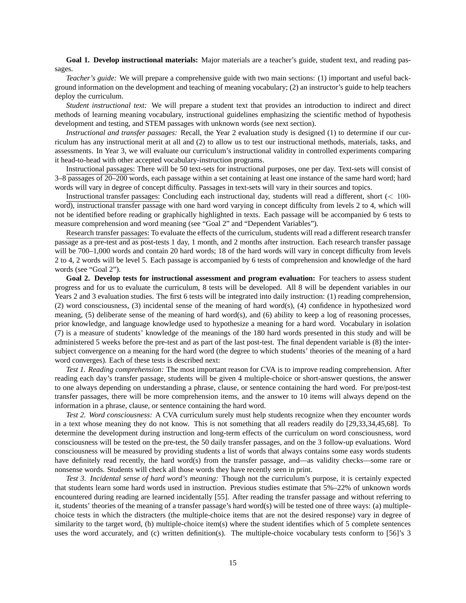**Goal 1. Develop instructional materials:** Major materials are a teacher's guide, student text, and reading passages.

*Teacher's guide:* We will prepare a comprehensive guide with two main sections: (1) important and useful background information on the development and teaching of meaning vocabulary; (2) an instructor's guide to help teachers deploy the curriculum.

*Student instructional text:* We will prepare a student text that provides an introduction to indirect and direct methods of learning meaning vocabulary, instructional guidelines emphasizing the scientific method of hypothesis development and testing, and STEM passages with unknown words (see next section).

*Instructional and transfer passages:* Recall, the Year 2 evaluation study is designed (1) to determine if our curriculum has any instructional merit at all and (2) to allow us to test our instructional methods, materials, tasks, and assessments. In Year 3, we will evaluate our curriculum's instructional validity in controlled experiments comparing it head-to-head with other accepted vocabulary-instruction programs.

Instructional passages: There will be 50 text-sets for instructional purposes, one per day. Text-sets will consist of 3–8 passages of 20–200 words, each passage within a set containing at least one instance of the same hard word; hard words will vary in degree of concept difficulty. Passages in text-sets will vary in their sources and topics.

Instructional transfer passages: Concluding each instructional day, students will read a different, short (< 100 word), instructional transfer passage with one hard word varying in concept difficulty from levels 2 to 4, which will not be identified before reading or graphically highlighted in texts. Each passage will be accompanied by 6 tests to measure comprehension and word meaning (see "Goal 2" and "Dependent Variables").

Research transfer passages: To evaluate the effects of the curriculum, students will read a different research transfer passage as a pre-test and as post-tests 1 day, 1 month, and 2 months after instruction. Each research transfer passage will be 700–1,000 words and contain 20 hard words; 18 of the hard words will vary in concept difficulty from levels 2 to 4, 2 words will be level 5. Each passage is accompanied by 6 tests of comprehension and knowledge of the hard words (see "Goal 2").

**Goal 2. Develop tests for instructional assessment and program evaluation:** For teachers to assess student progress and for us to evaluate the curriculum, 8 tests will be developed. All 8 will be dependent variables in our Years 2 and 3 evaluation studies. The first 6 tests will be integrated into daily instruction: (1) reading comprehension, (2) word consciousness, (3) incidental sense of the meaning of hard word(s), (4) confidence in hypothesized word meaning, (5) deliberate sense of the meaning of hard word(s), and (6) ability to keep a log of reasoning processes, prior knowledge, and language knowledge used to hypothesize a meaning for a hard word. Vocabulary in isolation (7) is a measure of students' knowledge of the meanings of the 180 hard words presented in this study and will be administered 5 weeks before the pre-test and as part of the last post-test. The final dependent variable is (8) the intersubject convergence on a meaning for the hard word (the degree to which students' theories of the meaning of a hard word converges). Each of these tests is described next:

*Test 1. Reading comprehension:* The most important reason for CVA is to improve reading comprehension. After reading each day's transfer passage, students will be given 4 multiple-choice or short-answer questions, the answer to one always depending on understanding a phrase, clause, or sentence containing the hard word. For pre/post-test transfer passages, there will be more comprehension items, and the answer to 10 items will always depend on the information in a phrase, clause, or sentence containing the hard word.

*Test 2. Word consciousness:* A CVA curriculum surely must help students recognize when they encounter words in a text whose meaning they do not know. This is not something that all readers readily do [29,33,34,45,68]. To determine the development during instruction and long-term effects of the curriculum on word consciousness, word consciousness will be tested on the pre-test, the 50 daily transfer passages, and on the 3 follow-up evaluations. Word consciousness will be measured by providing students a list of words that always contains some easy words students have definitely read recently, the hard word(s) from the transfer passage, and—as validity checks—some rare or nonsense words. Students will check all those words they have recently seen in print.

*Test 3. Incidental sense of hard word's meaning:* Though not the curriculum's purpose, it is certainly expected that students learn some hard words used in instruction. Previous studies estimate that 5%–22% of unknown words encountered during reading are learned incidentally [55]. After reading the transfer passage and without referring to it, students' theories of the meaning of a transfer passage's hard word(s) will be tested one of three ways: (a) multiplechoice tests in which the distracters (the multiple-choice items that are not the desired response) vary in degree of similarity to the target word, (b) multiple-choice item(s) where the student identifies which of 5 complete sentences uses the word accurately, and (c) written definition(s). The multiple-choice vocabulary tests conform to [56]'s 3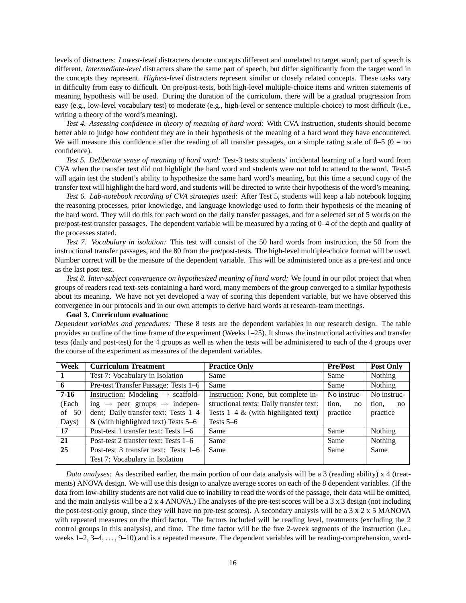levels of distracters: *Lowest-level* distracters denote concepts different and unrelated to target word; part of speech is different. *Intermediate-level* distracters share the same part of speech, but differ significantly from the target word in the concepts they represent. *Highest-level* distracters represent similar or closely related concepts. These tasks vary in difficulty from easy to difficult. On pre/post-tests, both high-level multiple-choice items and written statements of meaning hypothesis will be used. During the duration of the curriculum, there will be a gradual progression from easy (e.g., low-level vocabulary test) to moderate (e.g., high-level or sentence multiple-choice) to most difficult (i.e., writing a theory of the word's meaning).

*Test 4. Assessing confidence in theory of meaning of hard word:* With CVA instruction, students should become better able to judge how confident they are in their hypothesis of the meaning of a hard word they have encountered. We will measure this confidence after the reading of all transfer passages, on a simple rating scale of  $0-5$  ( $0 =$  no confidence).

*Test 5. Deliberate sense of meaning of hard word:* Test-3 tests students' incidental learning of a hard word from CVA when the transfer text did not highlight the hard word and students were not told to attend to the word. Test-5 will again test the student's ability to hypothesize the same hard word's meaning, but this time a second copy of the transfer text will highlight the hard word, and students will be directed to write their hypothesis of the word's meaning.

*Test 6. Lab-notebook recording of CVA strategies used:* After Test 5, students will keep a lab notebook logging the reasoning processes, prior knowledge, and language knowledge used to form their hypothesis of the meaning of the hard word. They will do this for each word on the daily transfer passages, and for a selected set of 5 words on the pre/post-test transfer passages. The dependent variable will be measured by a rating of 0–4 of the depth and quality of the processes stated.

*Test 7. Vocabulary in isolation:* This test will consist of the 50 hard words from instruction, the 50 from the instructional transfer passages, and the 80 from the pre/post-tests. The high-level multiple-choice format will be used. Number correct will be the measure of the dependent variable. This will be administered once as a pre-test and once as the last post-test.

*Test 8. Inter-subject convergence on hypothesized meaning of hard word:* We found in our pilot project that when groups of readers read text-sets containing a hard word, many members of the group converged to a similar hypothesis about its meaning. We have not yet developed a way of scoring this dependent variable, but we have observed this convergence in our protocols and in our own attempts to derive hard words at research-team meetings.

**Goal 3. Curriculum evaluation:**

*Dependent variables and procedures:* These 8 tests are the dependent variables in our research design. The table provides an outline of the time frame of the experiment (Weeks 1–25). It shows the instructional activities and transfer tests (daily and post-test) for the 4 groups as well as when the tests will be administered to each of the 4 groups over the course of the experiment as measures of the dependent variables.

| Week           | <b>Curriculum Treatment</b>                          | <b>Practice Only</b>                    | <b>Pre/Post</b> | <b>Post Only</b> |
|----------------|------------------------------------------------------|-----------------------------------------|-----------------|------------------|
| $\blacksquare$ | Test 7: Vocabulary in Isolation                      | Same                                    | Same            | Nothing          |
| 6              | Pre-test Transfer Passage: Tests 1-6                 | Same                                    | Same            | Nothing          |
| $7-16$         | Instruction: Modeling $\rightarrow$ scaffold-        | Instruction: None, but complete in-     | No instruc-     | No instruc-      |
| (Each          | ing $\rightarrow$ peer groups $\rightarrow$ indepen- | structional texts; Daily transfer text: | tion,<br>no     | tion,<br>no      |
| of $50$        | dent; Daily transfer text: Tests 1-4                 | Tests $1-4$ & (with highlighted text)   | practice        | practice         |
| Days)          | & (with highlighted text) Tests $5-6$                | Tests $5-6$                             |                 |                  |
| 17             | Post-test 1 transfer text: Tests 1–6                 | Same                                    | Same            | Nothing          |
| 21             | Post-test 2 transfer text: Tests 1–6                 | Same                                    | Same            | Nothing          |
| 25             | Post-test 3 transfer text: Tests 1–6                 | Same                                    | Same            | Same             |
|                | Test 7: Vocabulary in Isolation                      |                                         |                 |                  |

*Data analyses:* As described earlier, the main portion of our data analysis will be a 3 (reading ability) x 4 (treatments) ANOVA design. We will use this design to analyze average scores on each of the 8 dependent variables. (If the data from low-ability students are not valid due to inability to read the words of the passage, their data will be omitted, and the main analysis will be a 2 x 4 ANOVA.) The analyses of the pre-test scores will be a 3 x 3 design (not including the post-test-only group, since they will have no pre-test scores). A secondary analysis will be a  $3 \times 2 \times 5$  MANOVA with repeated measures on the third factor. The factors included will be reading level, treatments (excluding the 2 control groups in this analysis), and time. The time factor will be the five 2-week segments of the instruction (i.e., weeks  $1-2$ ,  $3-4$ ,  $\dots$ ,  $9-10$ ) and is a repeated measure. The dependent variables will be reading-comprehension, word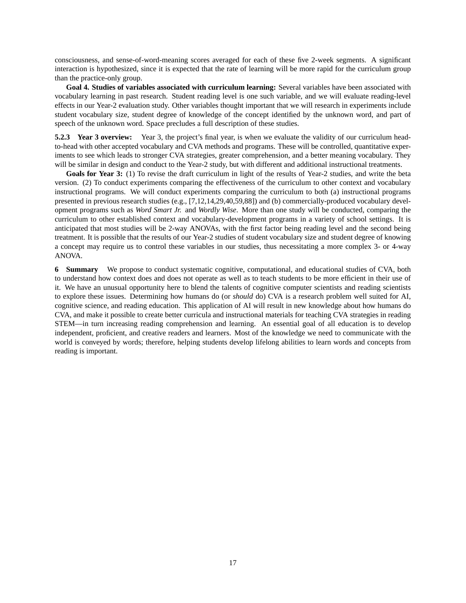consciousness, and sense-of-word-meaning scores averaged for each of these five 2-week segments. A significant interaction is hypothesized, since it is expected that the rate of learning will be more rapid for the curriculum group than the practice-only group.

**Goal 4. Studies of variables associated with curriculum learning:** Several variables have been associated with vocabulary learning in past research. Student reading level is one such variable, and we will evaluate reading-level effects in our Year-2 evaluation study. Other variables thought important that we will research in experiments include student vocabulary size, student degree of knowledge of the concept identified by the unknown word, and part of speech of the unknown word. Space precludes a full description of these studies.

**5.2.3 Year 3 overview:** Year 3, the project's final year, is when we evaluate the validity of our curriculum headto-head with other accepted vocabulary and CVA methods and programs. These will be controlled, quantitative experiments to see which leads to stronger CVA strategies, greater comprehension, and a better meaning vocabulary. They will be similar in design and conduct to the Year-2 study, but with different and additional instructional treatments.

**Goals for Year 3:** (1) To revise the draft curriculum in light of the results of Year-2 studies, and write the beta version. (2) To conduct experiments comparing the effectiveness of the curriculum to other context and vocabulary instructional programs. We will conduct experiments comparing the curriculum to both (a) instructional programs presented in previous research studies (e.g., [7,12,14,29,40,59,88]) and (b) commercially-produced vocabulary development programs such as *Word Smart Jr.* and *Wordly Wise*. More than one study will be conducted, comparing the curriculum to other established context and vocabulary-development programs in a variety of school settings. It is anticipated that most studies will be 2-way ANOVAs, with the first factor being reading level and the second being treatment. It is possible that the results of our Year-2 studies of student vocabulary size and student degree of knowing a concept may require us to control these variables in our studies, thus necessitating a more complex 3- or 4-way ANOVA.

**6 Summary** We propose to conduct systematic cognitive, computational, and educational studies of CVA, both to understand how context does and does not operate as well as to teach students to be more efficient in their use of it. We have an unusual opportunity here to blend the talents of cognitive computer scientists and reading scientists to explore these issues. Determining how humans do (or *should* do) CVA is a research problem well suited for AI, cognitive science, and reading education. This application of AI will result in new knowledge about how humans do CVA, and make it possible to create better curricula and instructional materials for teaching CVA strategies in reading STEM—in turn increasing reading comprehension and learning. An essential goal of all education is to develop independent, proficient, and creative readers and learners. Most of the knowledge we need to communicate with the world is conveyed by words; therefore, helping students develop lifelong abilities to learn words and concepts from reading is important.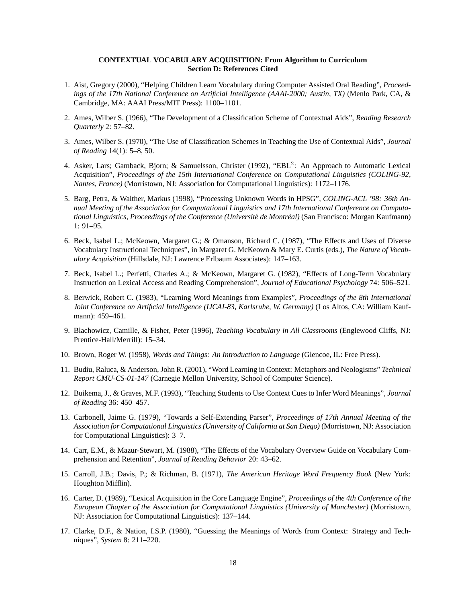## **CONTEXTUAL VOCABULARY ACQUISITION: From Algorithm to Curriculum Section D: References Cited**

- 1. Aist, Gregory (2000), "Helping Children Learn Vocabulary during Computer Assisted Oral Reading", *Proceedings of the 17th National Conference on Artificial Intelligence (AAAI-2000; Austin, TX)* (Menlo Park, CA, & Cambridge, MA: AAAI Press/MIT Press): 1100–1101.
- 2. Ames, Wilber S. (1966), "The Development of a Classification Scheme of Contextual Aids", *Reading Research Quarterly* 2: 57–82.
- 3. Ames, Wilber S. (1970), "The Use of Classification Schemes in Teaching the Use of Contextual Aids", *Journal of Reading* 14(1): 5–8, 50.
- 4. Asker, Lars; Gamback, Bjorn; & Samuelsson, Christer (1992), "EBL<sup>2</sup>: An Approach to Automatic Lexical Acquisition", *Proceedings of the 15th International Conference on Computational Linguistics (COLING-92, Nantes, France)* (Morristown, NJ: Association for Computational Linguistics): 1172–1176.
- 5. Barg, Petra, & Walther, Markus (1998), "Processing Unknown Words in HPSG", *COLING-ACL '98: 36th Annual Meeting of the Association for Computational Linguistics and 17th International Conference on Computational Linguistics, Proceedings of the Conference (Université de Montrèal)* (San Francisco: Morgan Kaufmann) 1: 91–95.
- 6. Beck, Isabel L.; McKeown, Margaret G.; & Omanson, Richard C. (1987), "The Effects and Uses of Diverse Vocabulary Instructional Techniques", in Margaret G. McKeown & Mary E. Curtis (eds.), *The Nature of Vocabulary Acquisition* (Hillsdale, NJ: Lawrence Erlbaum Associates): 147–163.
- 7. Beck, Isabel L.; Perfetti, Charles A.; & McKeown, Margaret G. (1982), "Effects of Long-Term Vocabulary Instruction on Lexical Access and Reading Comprehension", *Journal of Educational Psychology* 74: 506–521.
- 8. Berwick, Robert C. (1983), "Learning Word Meanings from Examples", *Proceedings of the 8th International Joint Conference on Artificial Intelligence (IJCAI-83, Karlsruhe, W. Germany)* (Los Altos, CA: William Kaufmann): 459–461.
- 9. Blachowicz, Camille, & Fisher, Peter (1996), *Teaching Vocabulary in All Classrooms* (Englewood Cliffs, NJ: Prentice-Hall/Merrill): 15–34.
- 10. Brown, Roger W. (1958), *Words and Things: An Introduction to Language* (Glencoe, IL: Free Press).
- 11. Budiu, Raluca, & Anderson, John R. (2001), "Word Learning in Context: Metaphors and Neologisms" *Technical Report CMU-CS-01-147* (Carnegie Mellon University, School of Computer Science).
- 12. Buikema, J., & Graves, M.F. (1993), "Teaching Students to Use Context Cues to Infer Word Meanings", *Journal of Reading* 36: 450–457.
- 13. Carbonell, Jaime G. (1979), "Towards a Self-Extending Parser", *Proceedings of 17th Annual Meeting of the Association for Computational Linguistics (University of California at San Diego)* (Morristown, NJ: Association for Computational Linguistics): 3–7.
- 14. Carr, E.M., & Mazur-Stewart, M. (1988), "The Effects of the Vocabulary Overview Guide on Vocabulary Comprehension and Retention", *Journal of Reading Behavior* 20: 43–62.
- 15. Carroll, J.B.; Davis, P.; & Richman, B. (1971), *The American Heritage Word Frequency Book* (New York: Houghton Mifflin).
- 16. Carter, D. (1989), "Lexical Acquisition in the Core Language Engine", *Proceedings of the 4th Conference of the European Chapter of the Association for Computational Linguistics (University of Manchester)* (Morristown, NJ: Association for Computational Linguistics): 137–144.
- 17. Clarke, D.F., & Nation, I.S.P. (1980), "Guessing the Meanings of Words from Context: Strategy and Techniques", *System* 8: 211–220.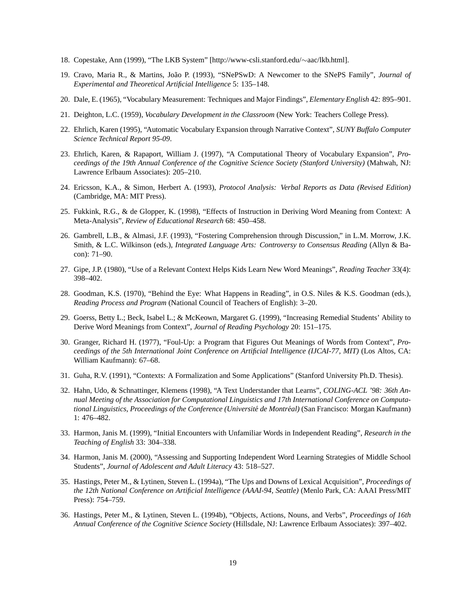- 18. Copestake, Ann (1999), "The LKB System" [http://www-csli.stanford.edu/∼aac/lkb.html].
- 19. Cravo, Maria R., & Martins, João P. (1993), "SNePSwD: A Newcomer to the SNePS Family", *Journal of Experimental and Theoretical Artificial Intelligence* 5: 135–148.
- 20. Dale, E. (1965), "Vocabulary Measurement: Techniques and Major Findings", *Elementary English* 42: 895–901.
- 21. Deighton, L.C. (1959), *Vocabulary Development in the Classroom* (New York: Teachers College Press).
- 22. Ehrlich, Karen (1995), "Automatic Vocabulary Expansion through Narrative Context", *SUNY Buffalo Computer Science Technical Report 95-09*.
- 23. Ehrlich, Karen, & Rapaport, William J. (1997), "A Computational Theory of Vocabulary Expansion", *Proceedings of the 19th Annual Conference of the Cognitive Science Society (Stanford University)* (Mahwah, NJ: Lawrence Erlbaum Associates): 205–210.
- 24. Ericsson, K.A., & Simon, Herbert A. (1993), *Protocol Analysis: Verbal Reports as Data (Revised Edition)* (Cambridge, MA: MIT Press).
- 25. Fukkink, R.G., & de Glopper, K. (1998), "Effects of Instruction in Deriving Word Meaning from Context: A Meta-Analysis", *Review of Educational Research* 68: 450–458.
- 26. Gambrell, L.B., & Almasi, J.F. (1993), "Fostering Comprehension through Discussion," in L.M. Morrow, J.K. Smith, & L.C. Wilkinson (eds.), *Integrated Language Arts: Controversy to Consensus Reading* (Allyn & Bacon): 71–90.
- 27. Gipe, J.P. (1980), "Use of a Relevant Context Helps Kids Learn New Word Meanings", *Reading Teacher* 33(4): 398–402.
- 28. Goodman, K.S. (1970), "Behind the Eye: What Happens in Reading", in O.S. Niles & K.S. Goodman (eds.), *Reading Process and Program* (National Council of Teachers of English): 3–20.
- 29. Goerss, Betty L.; Beck, Isabel L.; & McKeown, Margaret G. (1999), "Increasing Remedial Students' Ability to Derive Word Meanings from Context", *Journal of Reading Psychology* 20: 151–175.
- 30. Granger, Richard H. (1977), "Foul-Up: a Program that Figures Out Meanings of Words from Context", *Proceedings of the 5th International Joint Conference on Artificial Intelligence (IJCAI-77, MIT)* (Los Altos, CA: William Kaufmann): 67–68.
- 31. Guha, R.V. (1991), "Contexts: A Formalization and Some Applications" (Stanford University Ph.D. Thesis).
- 32. Hahn, Udo, & Schnattinger, Klemens (1998), "A Text Understander that Learns", *COLING-ACL '98: 36th Annual Meeting of the Association for Computational Linguistics and 17th International Conference on Computational Linguistics, Proceedings of the Conference (Université de Montréal)* (San Francisco: Morgan Kaufmann) 1: 476–482.
- 33. Harmon, Janis M. (1999), "Initial Encounters with Unfamiliar Words in Independent Reading", *Research in the Teaching of English* 33: 304–338.
- 34. Harmon, Janis M. (2000), "Assessing and Supporting Independent Word Learning Strategies of Middle School Students", *Journal of Adolescent and Adult Literacy* 43: 518–527.
- 35. Hastings, Peter M., & Lytinen, Steven L. (1994a), "The Ups and Downs of Lexical Acquisition", *Proceedings of the 12th National Conference on Artificial Intelligence (AAAI-94, Seattle)* (Menlo Park, CA: AAAI Press/MIT Press): 754–759.
- 36. Hastings, Peter M., & Lytinen, Steven L. (1994b), "Objects, Actions, Nouns, and Verbs", *Proceedings of 16th Annual Conference of the Cognitive Science Society* (Hillsdale, NJ: Lawrence Erlbaum Associates): 397–402.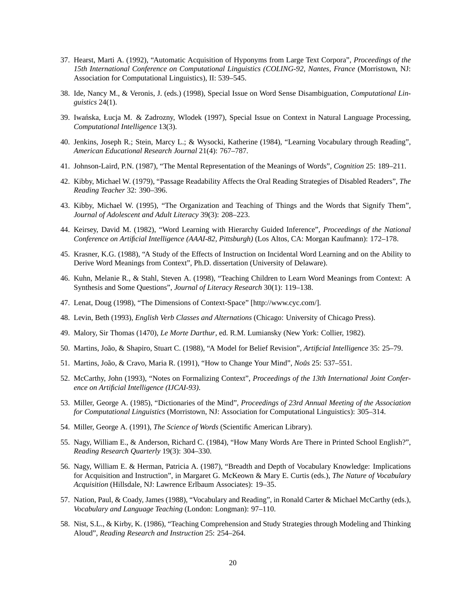- 37. Hearst, Marti A. (1992), "Automatic Acquisition of Hyponyms from Large Text Corpora", *Proceedings of the 15th International Conference on Computational Linguistics (COLING-92, Nantes, France* (Morristown, NJ: Association for Computational Linguistics), II: 539–545.
- 38. Ide, Nancy M., & Veronis, J. (eds.) (1998), Special Issue on Word Sense Disambiguation, *Computational Linguistics* 24(1).
- 39. Iwanska, Łucja M. & Zadrozny, Wlodek (1997), Special Issue on Context in Natural Language Processing, ´ *Computational Intelligence* 13(3).
- 40. Jenkins, Joseph R.; Stein, Marcy L.; & Wysocki, Katherine (1984), "Learning Vocabulary through Reading", *American Educational Research Journal* 21(4): 767–787.
- 41. Johnson-Laird, P.N. (1987), "The Mental Representation of the Meanings of Words", *Cognition* 25: 189–211.
- 42. Kibby, Michael W. (1979), "Passage Readability Affects the Oral Reading Strategies of Disabled Readers", *The Reading Teacher* 32: 390–396.
- 43. Kibby, Michael W. (1995), "The Organization and Teaching of Things and the Words that Signify Them", *Journal of Adolescent and Adult Literacy* 39(3): 208–223.
- 44. Keirsey, David M. (1982), "Word Learning with Hierarchy Guided Inference", *Proceedings of the National Conference on Artificial Intelligence (AAAI-82, Pittsburgh)* (Los Altos, CA: Morgan Kaufmann): 172–178.
- 45. Krasner, K.G. (1988), "A Study of the Effects of Instruction on Incidental Word Learning and on the Ability to Derive Word Meanings from Context", Ph.D. dissertation (University of Delaware).
- 46. Kuhn, Melanie R., & Stahl, Steven A. (1998), "Teaching Children to Learn Word Meanings from Context: A Synthesis and Some Questions", *Journal of Literacy Research* 30(1): 119–138.
- 47. Lenat, Doug (1998), "The Dimensions of Context-Space" [http://www.cyc.com/].
- 48. Levin, Beth (1993), *English Verb Classes and Alternations* (Chicago: University of Chicago Press).
- 49. Malory, Sir Thomas (1470), *Le Morte Darthur*, ed. R.M. Lumiansky (New York: Collier, 1982).
- 50. Martins, Joao, & Shapiro, Stuart C. (1988), "A Model for Belief Revision", ˜ *Artificial Intelligence* 35: 25–79.
- 51. Martins, João, & Cravo, Maria R. (1991), "How to Change Your Mind", *Noûs* 25: 537–551.
- 52. McCarthy, John (1993), "Notes on Formalizing Context", *Proceedings of the 13th International Joint Conference on Artificial Intelligence (IJCAI-93)*.
- 53. Miller, George A. (1985), "Dictionaries of the Mind", *Proceedings of 23rd Annual Meeting of the Association for Computational Linguistics* (Morristown, NJ: Association for Computational Linguistics): 305–314.
- 54. Miller, George A. (1991), *The Science of Words* (Scientific American Library).
- 55. Nagy, William E., & Anderson, Richard C. (1984), "How Many Words Are There in Printed School English?", *Reading Research Quarterly* 19(3): 304–330.
- 56. Nagy, William E. & Herman, Patricia A. (1987), "Breadth and Depth of Vocabulary Knowledge: Implications for Acquisition and Instruction", in Margaret G. McKeown & Mary E. Curtis (eds.), *The Nature of Vocabulary Acquisition* (Hillsdale, NJ: Lawrence Erlbaum Associates): 19–35.
- 57. Nation, Paul, & Coady, James (1988), "Vocabulary and Reading", in Ronald Carter & Michael McCarthy (eds.), *Vocabulary and Language Teaching* (London: Longman): 97–110.
- 58. Nist, S.L., & Kirby, K. (1986), "Teaching Comprehension and Study Strategies through Modeling and Thinking Aloud", *Reading Research and Instruction* 25: 254–264.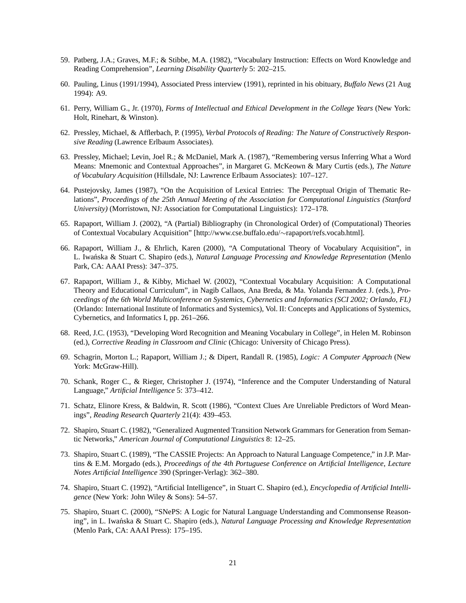- 59. Patberg, J.A.; Graves, M.F.; & Stibbe, M.A. (1982), "Vocabulary Instruction: Effects on Word Knowledge and Reading Comprehension", *Learning Disability Quarterly* 5: 202–215.
- 60. Pauling, Linus (1991/1994), Associated Press interview (1991), reprinted in his obituary, *Buffalo News* (21 Aug 1994): A9.
- 61. Perry, William G., Jr. (1970), *Forms of Intellectual and Ethical Development in the College Years* (New York: Holt, Rinehart, & Winston).
- 62. Pressley, Michael, & Afflerbach, P. (1995), *Verbal Protocols of Reading: The Nature of Constructively Responsive Reading* (Lawrence Erlbaum Associates).
- 63. Pressley, Michael; Levin, Joel R.; & McDaniel, Mark A. (1987), "Remembering versus Inferring What a Word Means: Mnemonic and Contextual Approaches", in Margaret G. McKeown & Mary Curtis (eds.), *The Nature of Vocabulary Acquisition* (Hillsdale, NJ: Lawrence Erlbaum Associates): 107–127.
- 64. Pustejovsky, James (1987), "On the Acquisition of Lexical Entries: The Perceptual Origin of Thematic Relations", *Proceedings of the 25th Annual Meeting of the Association for Computational Linguistics (Stanford University)* (Morristown, NJ: Association for Computational Linguistics): 172–178.
- 65. Rapaport, William J. (2002), "A (Partial) Bibliography (in Chronological Order) of (Computational) Theories of Contextual Vocabulary Acquisition" [http://www.cse.buffalo.edu/∼rapaport/refs.vocab.html].
- 66. Rapaport, William J., & Ehrlich, Karen (2000), "A Computational Theory of Vocabulary Acquisition", in L. Iwanska & Stuart C. Shapiro (eds.), *Natural Language Processing and Knowledge Representation* (Menlo Park, CA: AAAI Press): 347–375.
- 67. Rapaport, William J., & Kibby, Michael W. (2002), "Contextual Vocabulary Acquisition: A Computational Theory and Educational Curriculum", in Nagib Callaos, Ana Breda, & Ma. Yolanda Fernandez J. (eds.), *Proceedings of the 6th World Multiconference on Systemics, Cybernetics and Informatics (SCI 2002; Orlando, FL)* (Orlando: International Institute of Informatics and Systemics), Vol. II: Concepts and Applications of Systemics, Cybernetics, and Informatics I, pp. 261–266.
- 68. Reed, J.C. (1953), "Developing Word Recognition and Meaning Vocabulary in College", in Helen M. Robinson (ed.), *Corrective Reading in Classroom and Clinic* (Chicago: University of Chicago Press).
- 69. Schagrin, Morton L.; Rapaport, William J.; & Dipert, Randall R. (1985), *Logic: A Computer Approach* (New York: McGraw-Hill).
- 70. Schank, Roger C., & Rieger, Christopher J. (1974), "Inference and the Computer Understanding of Natural Language," *Artificial Intelligence* 5: 373–412.
- 71. Schatz, Elinore Kress, & Baldwin, R. Scott (1986), "Context Clues Are Unreliable Predictors of Word Meanings", *Reading Research Quarterly* 21(4): 439–453.
- 72. Shapiro, Stuart C. (1982), "Generalized Augmented Transition Network Grammars for Generation from Semantic Networks," *American Journal of Computational Linguistics* 8: 12–25.
- 73. Shapiro, Stuart C. (1989), "The CASSIE Projects: An Approach to Natural Language Competence," in J.P. Martins & E.M. Morgado (eds.), *Proceedings of the 4th Portuguese Conference on Artificial Intelligence*, *Lecture Notes Artificial Intelligence* 390 (Springer-Verlag): 362–380.
- 74. Shapiro, Stuart C. (1992), "Artificial Intelligence", in Stuart C. Shapiro (ed.), *Encyclopedia of Artificial Intelligence* (New York: John Wiley & Sons): 54–57.
- 75. Shapiro, Stuart C. (2000), "SNePS: A Logic for Natural Language Understanding and Commonsense Reasoning", in L. Iwanska & Stuart C. Shapiro (eds.), *Natural Language Processing and Knowledge Representation* (Menlo Park, CA: AAAI Press): 175–195.